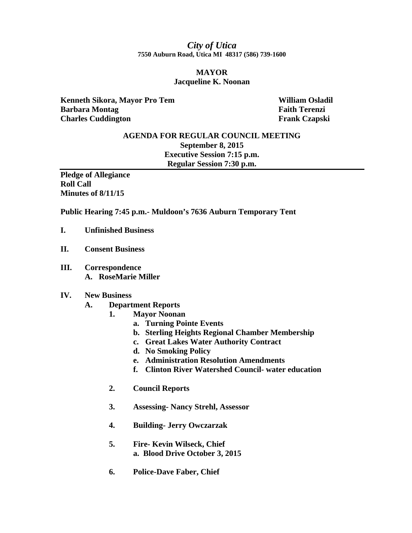### *City of Utica*  **7550 Auburn Road, Utica MI 48317 (586) 739-1600**

#### **MAYOR Jacqueline K. Noonan**

**Kenneth Sikora, Mayor Pro Tem William Osladil** *William Osladil* **Barbara Montag Faith Terenzi Charles Cuddington Frank Czapski** 

# **AGENDA FOR REGULAR COUNCIL MEETING September 8, 2015 Executive Session 7:15 p.m. Regular Session 7:30 p.m.**

**Pledge of Allegiance Roll Call Minutes of 8/11/15** 

**Public Hearing 7:45 p.m.- Muldoon's 7636 Auburn Temporary Tent** 

- **I. Unfinished Business**
- **II. Consent Business**
- **III. Correspondence A. RoseMarie Miller**

#### **IV. New Business**

- **A. Department Reports** 
	- **1. Mayor Noonan** 
		- **a. Turning Pointe Events**
		- **b. Sterling Heights Regional Chamber Membership**
		- **c. Great Lakes Water Authority Contract**
		- **d. No Smoking Policy**
		- **e. Administration Resolution Amendments**
		- **f. Clinton River Watershed Council- water education**
	- **2. Council Reports**
	- **3. Assessing- Nancy Strehl, Assessor**
	- **4. Building- Jerry Owczarzak**
	- **5. Fire- Kevin Wilseck, Chief a. Blood Drive October 3, 2015**
	- **6. Police-Dave Faber, Chief**